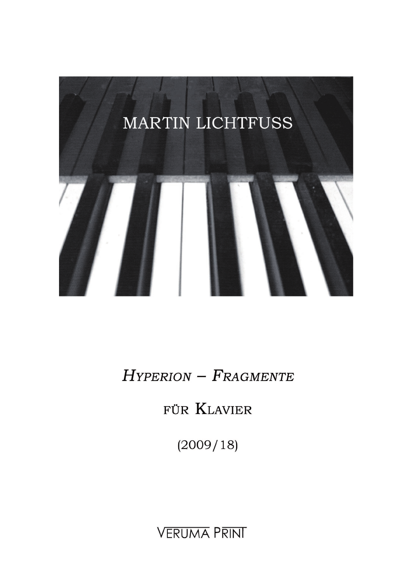

 $H$ YPERION -  $F$ RAGMENTE

FÜR KLAVIER

 $(2009/18)$ 

**VERUMA PRINT**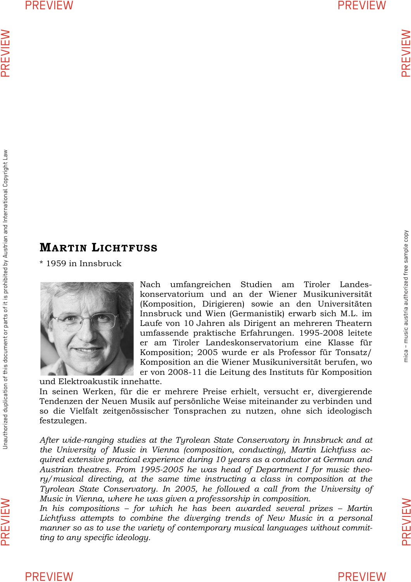# mica - music austria authorized free sample copy mica – music austria authorized free sample copy

## **MARTIN LICHTFUSS**

\* 1959 in Innsbruck



Nach umfangreichen Studien am Tiroler Landeskonservatorium und an der Wiener Musikuniversität (Komposition, Dirigieren) sowie an den Universitäten Innsbruck und Wien (Germanistik) erwarb sich M.L. im Laufe von 10 Jahren als Dirigent an mehreren Theatern umfassende praktische Erfahrungen. 1995-2008 leitete er am Tiroler Landeskonservatorium eine Klasse für Komposition; 2005 wurde er als Professor für Tonsatz/ Komposition an die Wiener Musikuniversität berufen, wo er von 2008-11 die Leitung des Instituts für Komposition

und Elektroakustik innehatte.

In seinen Werken, für die er mehrere Preise erhielt, versucht er, divergierende Tendenzen der Neuen Musik auf persönliche Weise miteinander zu verbinden und so die Vielfalt zeitgenössischer Tonsprachen zu nutzen, ohne sich ideologisch festzulegen.

*After wide-ranging studies at the Tyrolean State Conservatory in Innsbruck and at the University of Music in Vienna (composition, conducting), Martin Lichtfuss acquired extensive practical experience during 10 years as a conductor at German and Austrian theatres. From 1995-2005 he was head of Department I for music theory/musical directing, at the same time instructing a class in composition at the Tyrolean State Conservatory. In 2005, he followed a call from the University of Music in Vienna, where he was given a professorship in composition.* 

*In his compositions – for which he has been awarded several prizes – Martin*  Lichtfuss attempts to combine the diverging trends of New Music in a personal *manner so as to use the variety of contemporary musical languages without committing to any specific ideology.* 

PREVIEW

PREVIEW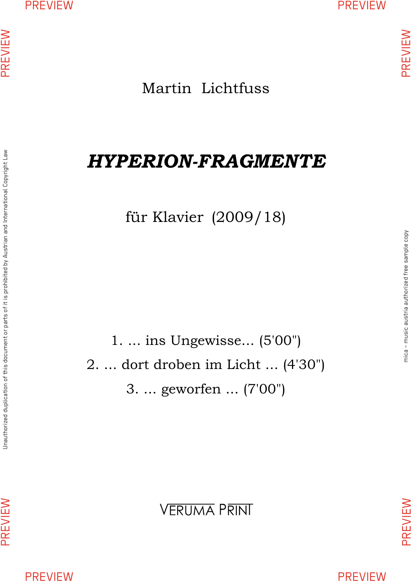Martin Lichtfuss

# *HYPERION-FRAGMENTE*

für Klavier (2009/18)

1. ... ins Ungewisse... (5'00") 2. ... dort droben im Licht ... (4'30") 3. ... geworfen ... (7'00")

Unauthorized duplication of this document or parts of it is prohibited by Austrian and International Copyright Law

Unauthorized duplication of this document or parts of it is prohibited by Austrian and International Copyright Law

PREVIEW

PREVIEW

PREVIEW PREVIEW

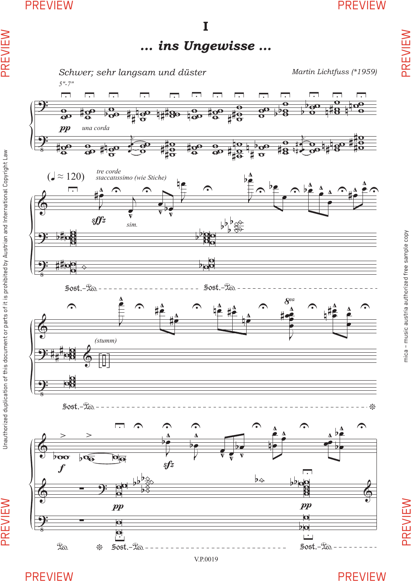PREVIEW

Unauthorized duplication of this document or parts of it is prohibited by Austrian and International Copyright Law

PREVIEW

Ι ... ins Ungewisse ...



PREVIEW

**PREVIEW** 

**PREVIEW**